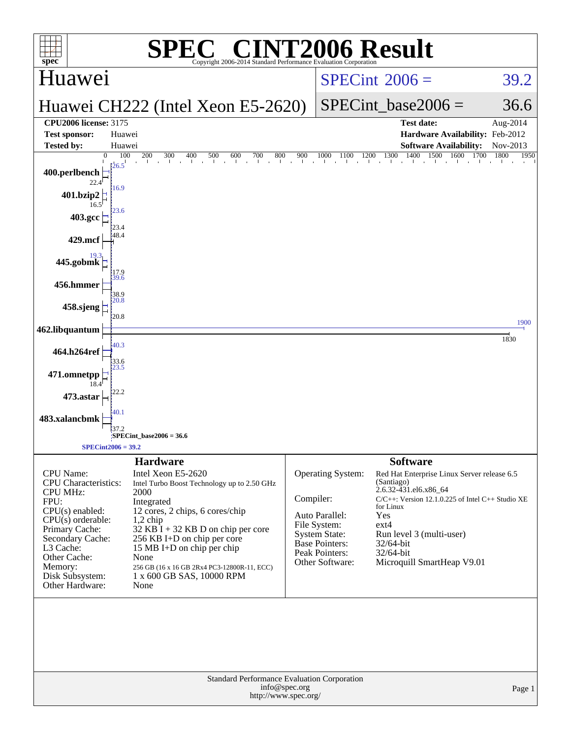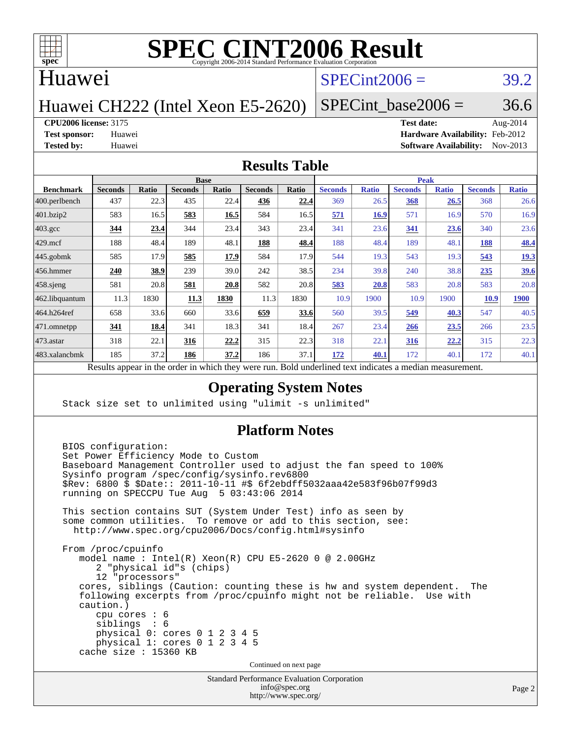

#### Huawei

#### $SPECint2006 = 39.2$  $SPECint2006 = 39.2$

### Huawei CH222 (Intel Xeon E5-2620)

#### SPECint base2006 =  $36.6$

#### **[CPU2006 license:](http://www.spec.org/auto/cpu2006/Docs/result-fields.html#CPU2006license)** 3175 **[Test date:](http://www.spec.org/auto/cpu2006/Docs/result-fields.html#Testdate)** Aug-2014

**[Test sponsor:](http://www.spec.org/auto/cpu2006/Docs/result-fields.html#Testsponsor)** Huawei **[Hardware Availability:](http://www.spec.org/auto/cpu2006/Docs/result-fields.html#HardwareAvailability)** Feb-2012 **[Tested by:](http://www.spec.org/auto/cpu2006/Docs/result-fields.html#Testedby)** Huawei **[Software Availability:](http://www.spec.org/auto/cpu2006/Docs/result-fields.html#SoftwareAvailability)** Nov-2013

#### **[Results Table](http://www.spec.org/auto/cpu2006/Docs/result-fields.html#ResultsTable)**

|                   | <b>Base</b>                                       |              |                |       |                |       | <b>Peak</b>                                                |              |                |              |                |              |
|-------------------|---------------------------------------------------|--------------|----------------|-------|----------------|-------|------------------------------------------------------------|--------------|----------------|--------------|----------------|--------------|
| <b>Benchmark</b>  | <b>Seconds</b>                                    | <b>Ratio</b> | <b>Seconds</b> | Ratio | <b>Seconds</b> | Ratio | <b>Seconds</b>                                             | <b>Ratio</b> | <b>Seconds</b> | <b>Ratio</b> | <b>Seconds</b> | <b>Ratio</b> |
| $ 400$ .perlbench | 437                                               | 22.3         | 435            | 22.4  | 436            | 22.4  | 369                                                        | 26.5         | 368            | 26.5         | 368            | 26.6         |
| 401.bzip2         | 583                                               | 16.5         | 583            | 16.5  | 584            | 16.5  | 571                                                        | <b>16.9</b>  | 571            | 16.9         | 570            | 16.9         |
| $403.\text{gcc}$  | 344                                               | 23.4         | 344            | 23.4  | 343            | 23.4  | 341                                                        | 23.6         | <u>341</u>     | 23.6         | 340            | 23.6         |
| $429$ .mcf        | 188                                               | 48.4         | 189            | 48.1  | 188            | 48.4  | 188                                                        | 48.4         | 189            | 48.1         | 188            | 48.4         |
| $445$ .gobmk      | 585                                               | 17.9         | 585            | 17.9  | 584            | 17.9  | 544                                                        | 19.3         | 543            | 19.3         | 543            | 19.3         |
| 456.hmmer         | 240                                               | 38.9         | 239            | 39.0  | 242            | 38.5  | 234                                                        | 39.8         | 240            | 38.8         | 235            | <u>39.6</u>  |
| $458$ .sjeng      | 581                                               | 20.8         | 581            | 20.8  | 582            | 20.8  | 583                                                        | 20.8         | 583            | 20.8         | 583            | 20.8         |
| 462.libquantum    | 11.3                                              | 1830         | <u>11.3</u>    | 1830  | 11.3           | 1830  | 10.9                                                       | 1900         | 10.9           | 1900         | <b>10.9</b>    | <b>1900</b>  |
| 464.h264ref       | 658                                               | 33.6         | 660            | 33.6  | 659            | 33.6  | 560                                                        | 39.5         | 549            | 40.3         | 547            | 40.5         |
| 471.omnetpp       | 341                                               | 18.4         | 341            | 18.3  | 341            | 18.4  | 267                                                        | 23.4         | 266            | <u>23.5</u>  | 266            | 23.5         |
| $473$ . astar     | 318                                               | 22.1         | 316            | 22.2  | 315            | 22.3  | 318                                                        | 22.1         | 316            | <u>22.2</u>  | 315            | 22.3         |
| 483.xalancbmk     | 185                                               | 37.2         | 186            | 37.2  | 186            | 37.1  | 172                                                        | 40.1         | 172            | 40.1         | 172            | 40.1         |
|                   | Decute ennear in the order in which they were run |              |                |       |                |       | <b>Dold</b> underlined tout indicates a modian measurement |              |                |              |                |              |

Results appear in the [order in which they were run.](http://www.spec.org/auto/cpu2006/Docs/result-fields.html#RunOrder) Bold underlined text [indicates a median measurement.](http://www.spec.org/auto/cpu2006/Docs/result-fields.html#Median)

#### **[Operating System Notes](http://www.spec.org/auto/cpu2006/Docs/result-fields.html#OperatingSystemNotes)**

Stack size set to unlimited using "ulimit -s unlimited"

#### **[Platform Notes](http://www.spec.org/auto/cpu2006/Docs/result-fields.html#PlatformNotes)**

Standard Performance Evaluation Corporation BIOS configuration: Set Power Efficiency Mode to Custom Baseboard Management Controller used to adjust the fan speed to 100% Sysinfo program /spec/config/sysinfo.rev6800 \$Rev: 6800 \$ \$Date:: 2011-10-11 #\$ 6f2ebdff5032aaa42e583f96b07f99d3 running on SPECCPU Tue Aug 5 03:43:06 2014 This section contains SUT (System Under Test) info as seen by some common utilities. To remove or add to this section, see: <http://www.spec.org/cpu2006/Docs/config.html#sysinfo> From /proc/cpuinfo model name : Intel(R) Xeon(R) CPU E5-2620 0 @ 2.00GHz 2 "physical id"s (chips) 12 "processors" cores, siblings (Caution: counting these is hw and system dependent. The following excerpts from /proc/cpuinfo might not be reliable. Use with caution.) cpu cores : 6 siblings : 6 physical 0: cores 0 1 2 3 4 5 physical 1: cores 0 1 2 3 4 5 cache size : 15360 KB Continued on next page

[info@spec.org](mailto:info@spec.org) <http://www.spec.org/>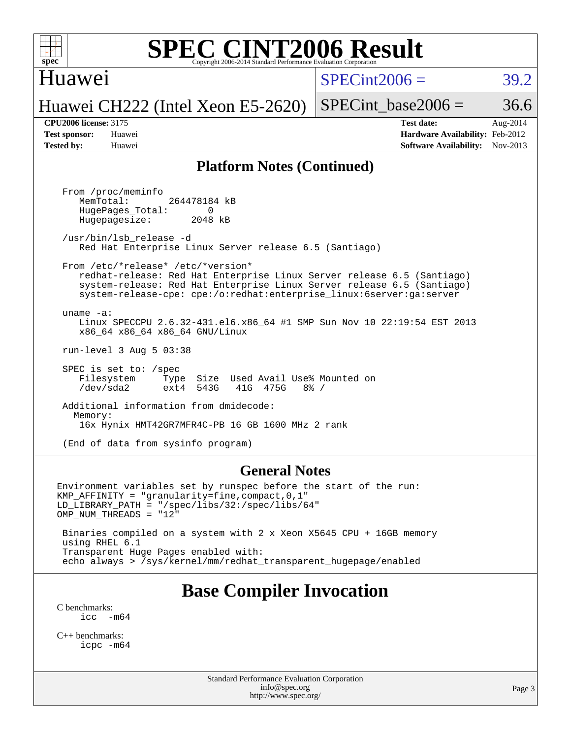

#### Huawei

 $SPECint2006 = 39.2$  $SPECint2006 = 39.2$ 

Huawei CH222 (Intel Xeon E5-2620)

SPECint base2006 =  $36.6$ 

**[CPU2006 license:](http://www.spec.org/auto/cpu2006/Docs/result-fields.html#CPU2006license)** 3175 **[Test date:](http://www.spec.org/auto/cpu2006/Docs/result-fields.html#Testdate)** Aug-2014 **[Test sponsor:](http://www.spec.org/auto/cpu2006/Docs/result-fields.html#Testsponsor)** Huawei **[Hardware Availability:](http://www.spec.org/auto/cpu2006/Docs/result-fields.html#HardwareAvailability)** Feb-2012 **[Tested by:](http://www.spec.org/auto/cpu2006/Docs/result-fields.html#Testedby)** Huawei **[Software Availability:](http://www.spec.org/auto/cpu2006/Docs/result-fields.html#SoftwareAvailability)** Nov-2013

#### **[Platform Notes \(Continued\)](http://www.spec.org/auto/cpu2006/Docs/result-fields.html#PlatformNotes)**

 From /proc/meminfo MemTotal: 264478184 kB HugePages\_Total: 0<br>Hugepagesize: 2048 kB Hugepagesize: /usr/bin/lsb\_release -d Red Hat Enterprise Linux Server release 6.5 (Santiago) From /etc/\*release\* /etc/\*version\* redhat-release: Red Hat Enterprise Linux Server release 6.5 (Santiago) system-release: Red Hat Enterprise Linux Server release 6.5 (Santiago) system-release-cpe: cpe:/o:redhat:enterprise\_linux:6server:ga:server uname -a: Linux SPECCPU 2.6.32-431.el6.x86\_64 #1 SMP Sun Nov 10 22:19:54 EST 2013 x86\_64 x86\_64 x86\_64 GNU/Linux run-level 3 Aug 5 03:38 SPEC is set to: /spec Filesystem Type Size Used Avail Use% Mounted on<br>
/dev/sda2 ext4 543G 41G 475G 8% / /dev/sda2 ext4 543G 41G 475G 8% / Additional information from dmidecode: Memory: 16x Hynix HMT42GR7MFR4C-PB 16 GB 1600 MHz 2 rank (End of data from sysinfo program)

#### **[General Notes](http://www.spec.org/auto/cpu2006/Docs/result-fields.html#GeneralNotes)**

Environment variables set by runspec before the start of the run: KMP\_AFFINITY = "granularity=fine,compact,0,1" LD\_LIBRARY\_PATH = "/spec/libs/32:/spec/libs/64" OMP NUM THREADS = "12" Binaries compiled on a system with 2 x Xeon X5645 CPU + 16GB memory using RHEL 6.1

 Transparent Huge Pages enabled with: echo always > /sys/kernel/mm/redhat\_transparent\_hugepage/enabled

### **[Base Compiler Invocation](http://www.spec.org/auto/cpu2006/Docs/result-fields.html#BaseCompilerInvocation)**

[C benchmarks](http://www.spec.org/auto/cpu2006/Docs/result-fields.html#Cbenchmarks):  $\text{icc}$   $-\text{m64}$ 

[C++ benchmarks:](http://www.spec.org/auto/cpu2006/Docs/result-fields.html#CXXbenchmarks) [icpc -m64](http://www.spec.org/cpu2006/results/res2014q3/cpu2006-20140807-30825.flags.html#user_CXXbase_intel_icpc_64bit_fc66a5337ce925472a5c54ad6a0de310)

> Standard Performance Evaluation Corporation [info@spec.org](mailto:info@spec.org) <http://www.spec.org/>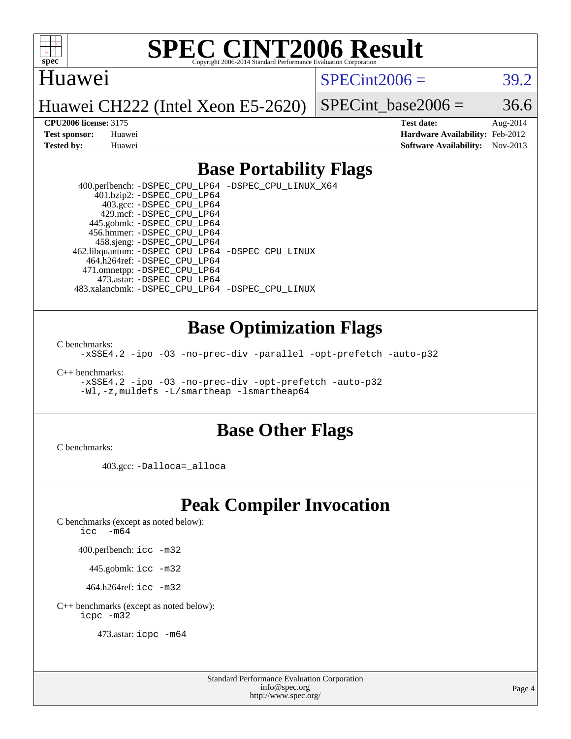

#### Huawei

 $SPECint2006 = 39.2$  $SPECint2006 = 39.2$ 

Huawei CH222 (Intel Xeon E5-2620)

SPECint base2006 =  $36.6$ 

**[CPU2006 license:](http://www.spec.org/auto/cpu2006/Docs/result-fields.html#CPU2006license)** 3175 **[Test date:](http://www.spec.org/auto/cpu2006/Docs/result-fields.html#Testdate)** Aug-2014 **[Test sponsor:](http://www.spec.org/auto/cpu2006/Docs/result-fields.html#Testsponsor)** Huawei **[Hardware Availability:](http://www.spec.org/auto/cpu2006/Docs/result-fields.html#HardwareAvailability)** Feb-2012 **[Tested by:](http://www.spec.org/auto/cpu2006/Docs/result-fields.html#Testedby)** Huawei **[Software Availability:](http://www.spec.org/auto/cpu2006/Docs/result-fields.html#SoftwareAvailability)** Nov-2013

#### **[Base Portability Flags](http://www.spec.org/auto/cpu2006/Docs/result-fields.html#BasePortabilityFlags)**

 400.perlbench: [-DSPEC\\_CPU\\_LP64](http://www.spec.org/cpu2006/results/res2014q3/cpu2006-20140807-30825.flags.html#b400.perlbench_basePORTABILITY_DSPEC_CPU_LP64) [-DSPEC\\_CPU\\_LINUX\\_X64](http://www.spec.org/cpu2006/results/res2014q3/cpu2006-20140807-30825.flags.html#b400.perlbench_baseCPORTABILITY_DSPEC_CPU_LINUX_X64) 401.bzip2: [-DSPEC\\_CPU\\_LP64](http://www.spec.org/cpu2006/results/res2014q3/cpu2006-20140807-30825.flags.html#suite_basePORTABILITY401_bzip2_DSPEC_CPU_LP64) 403.gcc: [-DSPEC\\_CPU\\_LP64](http://www.spec.org/cpu2006/results/res2014q3/cpu2006-20140807-30825.flags.html#suite_basePORTABILITY403_gcc_DSPEC_CPU_LP64) 429.mcf: [-DSPEC\\_CPU\\_LP64](http://www.spec.org/cpu2006/results/res2014q3/cpu2006-20140807-30825.flags.html#suite_basePORTABILITY429_mcf_DSPEC_CPU_LP64) 445.gobmk: [-DSPEC\\_CPU\\_LP64](http://www.spec.org/cpu2006/results/res2014q3/cpu2006-20140807-30825.flags.html#suite_basePORTABILITY445_gobmk_DSPEC_CPU_LP64) 456.hmmer: [-DSPEC\\_CPU\\_LP64](http://www.spec.org/cpu2006/results/res2014q3/cpu2006-20140807-30825.flags.html#suite_basePORTABILITY456_hmmer_DSPEC_CPU_LP64) 458.sjeng: [-DSPEC\\_CPU\\_LP64](http://www.spec.org/cpu2006/results/res2014q3/cpu2006-20140807-30825.flags.html#suite_basePORTABILITY458_sjeng_DSPEC_CPU_LP64) 462.libquantum: [-DSPEC\\_CPU\\_LP64](http://www.spec.org/cpu2006/results/res2014q3/cpu2006-20140807-30825.flags.html#suite_basePORTABILITY462_libquantum_DSPEC_CPU_LP64) [-DSPEC\\_CPU\\_LINUX](http://www.spec.org/cpu2006/results/res2014q3/cpu2006-20140807-30825.flags.html#b462.libquantum_baseCPORTABILITY_DSPEC_CPU_LINUX) 464.h264ref: [-DSPEC\\_CPU\\_LP64](http://www.spec.org/cpu2006/results/res2014q3/cpu2006-20140807-30825.flags.html#suite_basePORTABILITY464_h264ref_DSPEC_CPU_LP64) 471.omnetpp: [-DSPEC\\_CPU\\_LP64](http://www.spec.org/cpu2006/results/res2014q3/cpu2006-20140807-30825.flags.html#suite_basePORTABILITY471_omnetpp_DSPEC_CPU_LP64) 473.astar: [-DSPEC\\_CPU\\_LP64](http://www.spec.org/cpu2006/results/res2014q3/cpu2006-20140807-30825.flags.html#suite_basePORTABILITY473_astar_DSPEC_CPU_LP64) 483.xalancbmk: [-DSPEC\\_CPU\\_LP64](http://www.spec.org/cpu2006/results/res2014q3/cpu2006-20140807-30825.flags.html#suite_basePORTABILITY483_xalancbmk_DSPEC_CPU_LP64) [-DSPEC\\_CPU\\_LINUX](http://www.spec.org/cpu2006/results/res2014q3/cpu2006-20140807-30825.flags.html#b483.xalancbmk_baseCXXPORTABILITY_DSPEC_CPU_LINUX)

#### **[Base Optimization Flags](http://www.spec.org/auto/cpu2006/Docs/result-fields.html#BaseOptimizationFlags)**

[C benchmarks](http://www.spec.org/auto/cpu2006/Docs/result-fields.html#Cbenchmarks):

[-xSSE4.2](http://www.spec.org/cpu2006/results/res2014q3/cpu2006-20140807-30825.flags.html#user_CCbase_f-xSSE42_f91528193cf0b216347adb8b939d4107) [-ipo](http://www.spec.org/cpu2006/results/res2014q3/cpu2006-20140807-30825.flags.html#user_CCbase_f-ipo) [-O3](http://www.spec.org/cpu2006/results/res2014q3/cpu2006-20140807-30825.flags.html#user_CCbase_f-O3) [-no-prec-div](http://www.spec.org/cpu2006/results/res2014q3/cpu2006-20140807-30825.flags.html#user_CCbase_f-no-prec-div) [-parallel](http://www.spec.org/cpu2006/results/res2014q3/cpu2006-20140807-30825.flags.html#user_CCbase_f-parallel) [-opt-prefetch](http://www.spec.org/cpu2006/results/res2014q3/cpu2006-20140807-30825.flags.html#user_CCbase_f-opt-prefetch) [-auto-p32](http://www.spec.org/cpu2006/results/res2014q3/cpu2006-20140807-30825.flags.html#user_CCbase_f-auto-p32)

[C++ benchmarks:](http://www.spec.org/auto/cpu2006/Docs/result-fields.html#CXXbenchmarks)

[-xSSE4.2](http://www.spec.org/cpu2006/results/res2014q3/cpu2006-20140807-30825.flags.html#user_CXXbase_f-xSSE42_f91528193cf0b216347adb8b939d4107) [-ipo](http://www.spec.org/cpu2006/results/res2014q3/cpu2006-20140807-30825.flags.html#user_CXXbase_f-ipo) [-O3](http://www.spec.org/cpu2006/results/res2014q3/cpu2006-20140807-30825.flags.html#user_CXXbase_f-O3) [-no-prec-div](http://www.spec.org/cpu2006/results/res2014q3/cpu2006-20140807-30825.flags.html#user_CXXbase_f-no-prec-div) [-opt-prefetch](http://www.spec.org/cpu2006/results/res2014q3/cpu2006-20140807-30825.flags.html#user_CXXbase_f-opt-prefetch) [-auto-p32](http://www.spec.org/cpu2006/results/res2014q3/cpu2006-20140807-30825.flags.html#user_CXXbase_f-auto-p32) [-Wl,-z,muldefs](http://www.spec.org/cpu2006/results/res2014q3/cpu2006-20140807-30825.flags.html#user_CXXbase_link_force_multiple1_74079c344b956b9658436fd1b6dd3a8a) [-L/smartheap -lsmartheap64](http://www.spec.org/cpu2006/results/res2014q3/cpu2006-20140807-30825.flags.html#user_CXXbase_SmartHeap64_5e654037dadeae1fe403ab4b4466e60b)

#### **[Base Other Flags](http://www.spec.org/auto/cpu2006/Docs/result-fields.html#BaseOtherFlags)**

[C benchmarks](http://www.spec.org/auto/cpu2006/Docs/result-fields.html#Cbenchmarks):

403.gcc: [-Dalloca=\\_alloca](http://www.spec.org/cpu2006/results/res2014q3/cpu2006-20140807-30825.flags.html#b403.gcc_baseEXTRA_CFLAGS_Dalloca_be3056838c12de2578596ca5467af7f3)

### **[Peak Compiler Invocation](http://www.spec.org/auto/cpu2006/Docs/result-fields.html#PeakCompilerInvocation)**

[C benchmarks \(except as noted below\)](http://www.spec.org/auto/cpu2006/Docs/result-fields.html#Cbenchmarksexceptasnotedbelow):

[icc -m64](http://www.spec.org/cpu2006/results/res2014q3/cpu2006-20140807-30825.flags.html#user_CCpeak_intel_icc_64bit_f346026e86af2a669e726fe758c88044)

400.perlbench: [icc -m32](http://www.spec.org/cpu2006/results/res2014q3/cpu2006-20140807-30825.flags.html#user_peakCCLD400_perlbench_intel_icc_a6a621f8d50482236b970c6ac5f55f93)

445.gobmk: [icc -m32](http://www.spec.org/cpu2006/results/res2014q3/cpu2006-20140807-30825.flags.html#user_peakCCLD445_gobmk_intel_icc_a6a621f8d50482236b970c6ac5f55f93)

464.h264ref: [icc -m32](http://www.spec.org/cpu2006/results/res2014q3/cpu2006-20140807-30825.flags.html#user_peakCCLD464_h264ref_intel_icc_a6a621f8d50482236b970c6ac5f55f93)

[C++ benchmarks \(except as noted below\):](http://www.spec.org/auto/cpu2006/Docs/result-fields.html#CXXbenchmarksexceptasnotedbelow) [icpc -m32](http://www.spec.org/cpu2006/results/res2014q3/cpu2006-20140807-30825.flags.html#user_CXXpeak_intel_icpc_4e5a5ef1a53fd332b3c49e69c3330699)

473.astar: [icpc -m64](http://www.spec.org/cpu2006/results/res2014q3/cpu2006-20140807-30825.flags.html#user_peakCXXLD473_astar_intel_icpc_64bit_fc66a5337ce925472a5c54ad6a0de310)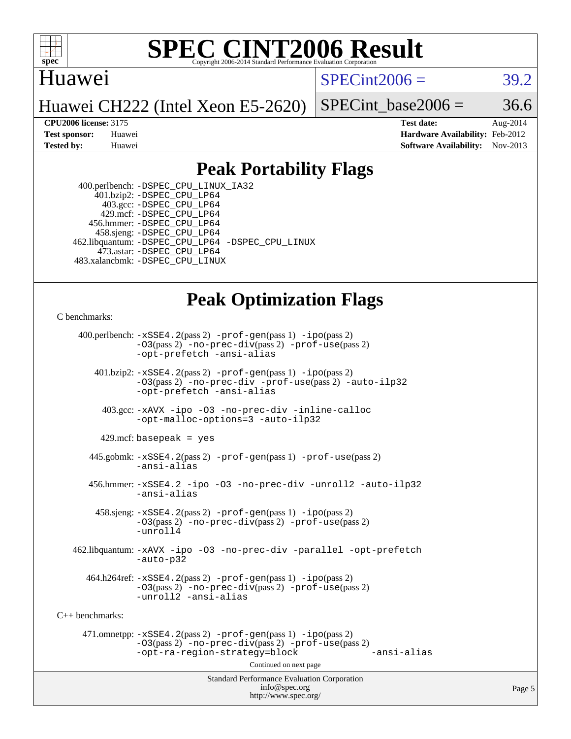

#### Huawei

 $SPECint2006 = 39.2$  $SPECint2006 = 39.2$ 

Huawei CH222 (Intel Xeon E5-2620)

SPECint base2006 =  $36.6$ 

**[CPU2006 license:](http://www.spec.org/auto/cpu2006/Docs/result-fields.html#CPU2006license)** 3175 **[Test date:](http://www.spec.org/auto/cpu2006/Docs/result-fields.html#Testdate)** Aug-2014 **[Test sponsor:](http://www.spec.org/auto/cpu2006/Docs/result-fields.html#Testsponsor)** Huawei **[Hardware Availability:](http://www.spec.org/auto/cpu2006/Docs/result-fields.html#HardwareAvailability)** Feb-2012 **[Tested by:](http://www.spec.org/auto/cpu2006/Docs/result-fields.html#Testedby)** Huawei **[Software Availability:](http://www.spec.org/auto/cpu2006/Docs/result-fields.html#SoftwareAvailability)** Nov-2013

#### **[Peak Portability Flags](http://www.spec.org/auto/cpu2006/Docs/result-fields.html#PeakPortabilityFlags)**

 400.perlbench: [-DSPEC\\_CPU\\_LINUX\\_IA32](http://www.spec.org/cpu2006/results/res2014q3/cpu2006-20140807-30825.flags.html#b400.perlbench_peakCPORTABILITY_DSPEC_CPU_LINUX_IA32) 401.bzip2: [-DSPEC\\_CPU\\_LP64](http://www.spec.org/cpu2006/results/res2014q3/cpu2006-20140807-30825.flags.html#suite_peakPORTABILITY401_bzip2_DSPEC_CPU_LP64) 403.gcc: [-DSPEC\\_CPU\\_LP64](http://www.spec.org/cpu2006/results/res2014q3/cpu2006-20140807-30825.flags.html#suite_peakPORTABILITY403_gcc_DSPEC_CPU_LP64) 429.mcf: [-DSPEC\\_CPU\\_LP64](http://www.spec.org/cpu2006/results/res2014q3/cpu2006-20140807-30825.flags.html#suite_peakPORTABILITY429_mcf_DSPEC_CPU_LP64) 456.hmmer: [-DSPEC\\_CPU\\_LP64](http://www.spec.org/cpu2006/results/res2014q3/cpu2006-20140807-30825.flags.html#suite_peakPORTABILITY456_hmmer_DSPEC_CPU_LP64) 458.sjeng: [-DSPEC\\_CPU\\_LP64](http://www.spec.org/cpu2006/results/res2014q3/cpu2006-20140807-30825.flags.html#suite_peakPORTABILITY458_sjeng_DSPEC_CPU_LP64) 462.libquantum: [-DSPEC\\_CPU\\_LP64](http://www.spec.org/cpu2006/results/res2014q3/cpu2006-20140807-30825.flags.html#suite_peakPORTABILITY462_libquantum_DSPEC_CPU_LP64) [-DSPEC\\_CPU\\_LINUX](http://www.spec.org/cpu2006/results/res2014q3/cpu2006-20140807-30825.flags.html#b462.libquantum_peakCPORTABILITY_DSPEC_CPU_LINUX) 473.astar: [-DSPEC\\_CPU\\_LP64](http://www.spec.org/cpu2006/results/res2014q3/cpu2006-20140807-30825.flags.html#suite_peakPORTABILITY473_astar_DSPEC_CPU_LP64) 483.xalancbmk: [-DSPEC\\_CPU\\_LINUX](http://www.spec.org/cpu2006/results/res2014q3/cpu2006-20140807-30825.flags.html#b483.xalancbmk_peakCXXPORTABILITY_DSPEC_CPU_LINUX)

### **[Peak Optimization Flags](http://www.spec.org/auto/cpu2006/Docs/result-fields.html#PeakOptimizationFlags)**

[C benchmarks](http://www.spec.org/auto/cpu2006/Docs/result-fields.html#Cbenchmarks):

Standard Performance Evaluation Corporation [info@spec.org](mailto:info@spec.org) 400.perlbench: [-xSSE4.2](http://www.spec.org/cpu2006/results/res2014q3/cpu2006-20140807-30825.flags.html#user_peakPASS2_CFLAGSPASS2_LDCFLAGS400_perlbench_f-xSSE42_f91528193cf0b216347adb8b939d4107)(pass 2) [-prof-gen](http://www.spec.org/cpu2006/results/res2014q3/cpu2006-20140807-30825.flags.html#user_peakPASS1_CFLAGSPASS1_LDCFLAGS400_perlbench_prof_gen_e43856698f6ca7b7e442dfd80e94a8fc)(pass 1) [-ipo](http://www.spec.org/cpu2006/results/res2014q3/cpu2006-20140807-30825.flags.html#user_peakPASS2_CFLAGSPASS2_LDCFLAGS400_perlbench_f-ipo)(pass 2) [-O3](http://www.spec.org/cpu2006/results/res2014q3/cpu2006-20140807-30825.flags.html#user_peakPASS2_CFLAGSPASS2_LDCFLAGS400_perlbench_f-O3)(pass 2) [-no-prec-div](http://www.spec.org/cpu2006/results/res2014q3/cpu2006-20140807-30825.flags.html#user_peakPASS2_CFLAGSPASS2_LDCFLAGS400_perlbench_f-no-prec-div)(pass 2) [-prof-use](http://www.spec.org/cpu2006/results/res2014q3/cpu2006-20140807-30825.flags.html#user_peakPASS2_CFLAGSPASS2_LDCFLAGS400_perlbench_prof_use_bccf7792157ff70d64e32fe3e1250b55)(pass 2) [-opt-prefetch](http://www.spec.org/cpu2006/results/res2014q3/cpu2006-20140807-30825.flags.html#user_peakCOPTIMIZE400_perlbench_f-opt-prefetch) [-ansi-alias](http://www.spec.org/cpu2006/results/res2014q3/cpu2006-20140807-30825.flags.html#user_peakCOPTIMIZE400_perlbench_f-ansi-alias) 401.bzip2: [-xSSE4.2](http://www.spec.org/cpu2006/results/res2014q3/cpu2006-20140807-30825.flags.html#user_peakPASS2_CFLAGSPASS2_LDCFLAGS401_bzip2_f-xSSE42_f91528193cf0b216347adb8b939d4107)(pass 2) [-prof-gen](http://www.spec.org/cpu2006/results/res2014q3/cpu2006-20140807-30825.flags.html#user_peakPASS1_CFLAGSPASS1_LDCFLAGS401_bzip2_prof_gen_e43856698f6ca7b7e442dfd80e94a8fc)(pass 1) [-ipo](http://www.spec.org/cpu2006/results/res2014q3/cpu2006-20140807-30825.flags.html#user_peakPASS2_CFLAGSPASS2_LDCFLAGS401_bzip2_f-ipo)(pass 2) [-O3](http://www.spec.org/cpu2006/results/res2014q3/cpu2006-20140807-30825.flags.html#user_peakPASS2_CFLAGSPASS2_LDCFLAGS401_bzip2_f-O3)(pass 2) [-no-prec-div](http://www.spec.org/cpu2006/results/res2014q3/cpu2006-20140807-30825.flags.html#user_peakCOPTIMIZEPASS2_CFLAGSPASS2_LDCFLAGS401_bzip2_f-no-prec-div) [-prof-use](http://www.spec.org/cpu2006/results/res2014q3/cpu2006-20140807-30825.flags.html#user_peakPASS2_CFLAGSPASS2_LDCFLAGS401_bzip2_prof_use_bccf7792157ff70d64e32fe3e1250b55)(pass 2) [-auto-ilp32](http://www.spec.org/cpu2006/results/res2014q3/cpu2006-20140807-30825.flags.html#user_peakCOPTIMIZE401_bzip2_f-auto-ilp32) [-opt-prefetch](http://www.spec.org/cpu2006/results/res2014q3/cpu2006-20140807-30825.flags.html#user_peakCOPTIMIZE401_bzip2_f-opt-prefetch) [-ansi-alias](http://www.spec.org/cpu2006/results/res2014q3/cpu2006-20140807-30825.flags.html#user_peakCOPTIMIZE401_bzip2_f-ansi-alias) 403.gcc: [-xAVX](http://www.spec.org/cpu2006/results/res2014q3/cpu2006-20140807-30825.flags.html#user_peakCOPTIMIZE403_gcc_f-xAVX) [-ipo](http://www.spec.org/cpu2006/results/res2014q3/cpu2006-20140807-30825.flags.html#user_peakCOPTIMIZE403_gcc_f-ipo) [-O3](http://www.spec.org/cpu2006/results/res2014q3/cpu2006-20140807-30825.flags.html#user_peakCOPTIMIZE403_gcc_f-O3) [-no-prec-div](http://www.spec.org/cpu2006/results/res2014q3/cpu2006-20140807-30825.flags.html#user_peakCOPTIMIZE403_gcc_f-no-prec-div) [-inline-calloc](http://www.spec.org/cpu2006/results/res2014q3/cpu2006-20140807-30825.flags.html#user_peakCOPTIMIZE403_gcc_f-inline-calloc) [-opt-malloc-options=3](http://www.spec.org/cpu2006/results/res2014q3/cpu2006-20140807-30825.flags.html#user_peakCOPTIMIZE403_gcc_f-opt-malloc-options_13ab9b803cf986b4ee62f0a5998c2238) [-auto-ilp32](http://www.spec.org/cpu2006/results/res2014q3/cpu2006-20140807-30825.flags.html#user_peakCOPTIMIZE403_gcc_f-auto-ilp32)  $429$ .mcf: basepeak = yes 445.gobmk: [-xSSE4.2](http://www.spec.org/cpu2006/results/res2014q3/cpu2006-20140807-30825.flags.html#user_peakPASS2_CFLAGSPASS2_LDCFLAGS445_gobmk_f-xSSE42_f91528193cf0b216347adb8b939d4107)(pass 2) [-prof-gen](http://www.spec.org/cpu2006/results/res2014q3/cpu2006-20140807-30825.flags.html#user_peakPASS1_CFLAGSPASS1_LDCFLAGS445_gobmk_prof_gen_e43856698f6ca7b7e442dfd80e94a8fc)(pass 1) [-prof-use](http://www.spec.org/cpu2006/results/res2014q3/cpu2006-20140807-30825.flags.html#user_peakPASS2_CFLAGSPASS2_LDCFLAGS445_gobmk_prof_use_bccf7792157ff70d64e32fe3e1250b55)(pass 2) [-ansi-alias](http://www.spec.org/cpu2006/results/res2014q3/cpu2006-20140807-30825.flags.html#user_peakCOPTIMIZE445_gobmk_f-ansi-alias) 456.hmmer: [-xSSE4.2](http://www.spec.org/cpu2006/results/res2014q3/cpu2006-20140807-30825.flags.html#user_peakCOPTIMIZE456_hmmer_f-xSSE42_f91528193cf0b216347adb8b939d4107) [-ipo](http://www.spec.org/cpu2006/results/res2014q3/cpu2006-20140807-30825.flags.html#user_peakCOPTIMIZE456_hmmer_f-ipo) [-O3](http://www.spec.org/cpu2006/results/res2014q3/cpu2006-20140807-30825.flags.html#user_peakCOPTIMIZE456_hmmer_f-O3) [-no-prec-div](http://www.spec.org/cpu2006/results/res2014q3/cpu2006-20140807-30825.flags.html#user_peakCOPTIMIZE456_hmmer_f-no-prec-div) [-unroll2](http://www.spec.org/cpu2006/results/res2014q3/cpu2006-20140807-30825.flags.html#user_peakCOPTIMIZE456_hmmer_f-unroll_784dae83bebfb236979b41d2422d7ec2) [-auto-ilp32](http://www.spec.org/cpu2006/results/res2014q3/cpu2006-20140807-30825.flags.html#user_peakCOPTIMIZE456_hmmer_f-auto-ilp32) [-ansi-alias](http://www.spec.org/cpu2006/results/res2014q3/cpu2006-20140807-30825.flags.html#user_peakCOPTIMIZE456_hmmer_f-ansi-alias) 458.sjeng: [-xSSE4.2](http://www.spec.org/cpu2006/results/res2014q3/cpu2006-20140807-30825.flags.html#user_peakPASS2_CFLAGSPASS2_LDCFLAGS458_sjeng_f-xSSE42_f91528193cf0b216347adb8b939d4107)(pass 2) [-prof-gen](http://www.spec.org/cpu2006/results/res2014q3/cpu2006-20140807-30825.flags.html#user_peakPASS1_CFLAGSPASS1_LDCFLAGS458_sjeng_prof_gen_e43856698f6ca7b7e442dfd80e94a8fc)(pass 1) [-ipo](http://www.spec.org/cpu2006/results/res2014q3/cpu2006-20140807-30825.flags.html#user_peakPASS2_CFLAGSPASS2_LDCFLAGS458_sjeng_f-ipo)(pass 2) [-O3](http://www.spec.org/cpu2006/results/res2014q3/cpu2006-20140807-30825.flags.html#user_peakPASS2_CFLAGSPASS2_LDCFLAGS458_sjeng_f-O3)(pass 2) [-no-prec-div](http://www.spec.org/cpu2006/results/res2014q3/cpu2006-20140807-30825.flags.html#user_peakPASS2_CFLAGSPASS2_LDCFLAGS458_sjeng_f-no-prec-div)(pass 2) [-prof-use](http://www.spec.org/cpu2006/results/res2014q3/cpu2006-20140807-30825.flags.html#user_peakPASS2_CFLAGSPASS2_LDCFLAGS458_sjeng_prof_use_bccf7792157ff70d64e32fe3e1250b55)(pass 2) [-unroll4](http://www.spec.org/cpu2006/results/res2014q3/cpu2006-20140807-30825.flags.html#user_peakCOPTIMIZE458_sjeng_f-unroll_4e5e4ed65b7fd20bdcd365bec371b81f) 462.libquantum: [-xAVX](http://www.spec.org/cpu2006/results/res2014q3/cpu2006-20140807-30825.flags.html#user_peakCOPTIMIZE462_libquantum_f-xAVX) [-ipo](http://www.spec.org/cpu2006/results/res2014q3/cpu2006-20140807-30825.flags.html#user_peakCOPTIMIZE462_libquantum_f-ipo) [-O3](http://www.spec.org/cpu2006/results/res2014q3/cpu2006-20140807-30825.flags.html#user_peakCOPTIMIZE462_libquantum_f-O3) [-no-prec-div](http://www.spec.org/cpu2006/results/res2014q3/cpu2006-20140807-30825.flags.html#user_peakCOPTIMIZE462_libquantum_f-no-prec-div) [-parallel](http://www.spec.org/cpu2006/results/res2014q3/cpu2006-20140807-30825.flags.html#user_peakCOPTIMIZE462_libquantum_f-parallel) [-opt-prefetch](http://www.spec.org/cpu2006/results/res2014q3/cpu2006-20140807-30825.flags.html#user_peakCOPTIMIZE462_libquantum_f-opt-prefetch) [-auto-p32](http://www.spec.org/cpu2006/results/res2014q3/cpu2006-20140807-30825.flags.html#user_peakCOPTIMIZE462_libquantum_f-auto-p32)  $464.h264$ ref:  $-xSSE4$ .  $2(pass 2)$  [-prof-gen](http://www.spec.org/cpu2006/results/res2014q3/cpu2006-20140807-30825.flags.html#user_peakPASS1_CFLAGSPASS1_LDCFLAGS464_h264ref_prof_gen_e43856698f6ca7b7e442dfd80e94a8fc)(pass 1) [-ipo](http://www.spec.org/cpu2006/results/res2014q3/cpu2006-20140807-30825.flags.html#user_peakPASS2_CFLAGSPASS2_LDCFLAGS464_h264ref_f-ipo)(pass 2) [-O3](http://www.spec.org/cpu2006/results/res2014q3/cpu2006-20140807-30825.flags.html#user_peakPASS2_CFLAGSPASS2_LDCFLAGS464_h264ref_f-O3)(pass 2) [-no-prec-div](http://www.spec.org/cpu2006/results/res2014q3/cpu2006-20140807-30825.flags.html#user_peakPASS2_CFLAGSPASS2_LDCFLAGS464_h264ref_f-no-prec-div)(pass 2) [-prof-use](http://www.spec.org/cpu2006/results/res2014q3/cpu2006-20140807-30825.flags.html#user_peakPASS2_CFLAGSPASS2_LDCFLAGS464_h264ref_prof_use_bccf7792157ff70d64e32fe3e1250b55)(pass 2) [-unroll2](http://www.spec.org/cpu2006/results/res2014q3/cpu2006-20140807-30825.flags.html#user_peakCOPTIMIZE464_h264ref_f-unroll_784dae83bebfb236979b41d2422d7ec2) [-ansi-alias](http://www.spec.org/cpu2006/results/res2014q3/cpu2006-20140807-30825.flags.html#user_peakCOPTIMIZE464_h264ref_f-ansi-alias) [C++ benchmarks:](http://www.spec.org/auto/cpu2006/Docs/result-fields.html#CXXbenchmarks) 471.omnetpp: [-xSSE4.2](http://www.spec.org/cpu2006/results/res2014q3/cpu2006-20140807-30825.flags.html#user_peakPASS2_CXXFLAGSPASS2_LDCXXFLAGS471_omnetpp_f-xSSE42_f91528193cf0b216347adb8b939d4107)(pass 2) [-prof-gen](http://www.spec.org/cpu2006/results/res2014q3/cpu2006-20140807-30825.flags.html#user_peakPASS1_CXXFLAGSPASS1_LDCXXFLAGS471_omnetpp_prof_gen_e43856698f6ca7b7e442dfd80e94a8fc)(pass 1) [-ipo](http://www.spec.org/cpu2006/results/res2014q3/cpu2006-20140807-30825.flags.html#user_peakPASS2_CXXFLAGSPASS2_LDCXXFLAGS471_omnetpp_f-ipo)(pass 2) [-O3](http://www.spec.org/cpu2006/results/res2014q3/cpu2006-20140807-30825.flags.html#user_peakPASS2_CXXFLAGSPASS2_LDCXXFLAGS471_omnetpp_f-O3)(pass 2) [-no-prec-div](http://www.spec.org/cpu2006/results/res2014q3/cpu2006-20140807-30825.flags.html#user_peakPASS2_CXXFLAGSPASS2_LDCXXFLAGS471_omnetpp_f-no-prec-div)(pass 2) [-prof-use](http://www.spec.org/cpu2006/results/res2014q3/cpu2006-20140807-30825.flags.html#user_peakPASS2_CXXFLAGSPASS2_LDCXXFLAGS471_omnetpp_prof_use_bccf7792157ff70d64e32fe3e1250b55)(pass 2) [-opt-ra-region-strategy=block](http://www.spec.org/cpu2006/results/res2014q3/cpu2006-20140807-30825.flags.html#user_peakCXXOPTIMIZE471_omnetpp_f-opt-ra-region-strategy_5382940c29ea30302d682fc74bfe0147) [-ansi-alias](http://www.spec.org/cpu2006/results/res2014q3/cpu2006-20140807-30825.flags.html#user_peakCXXOPTIMIZE471_omnetpp_f-ansi-alias) Continued on next page

<http://www.spec.org/>